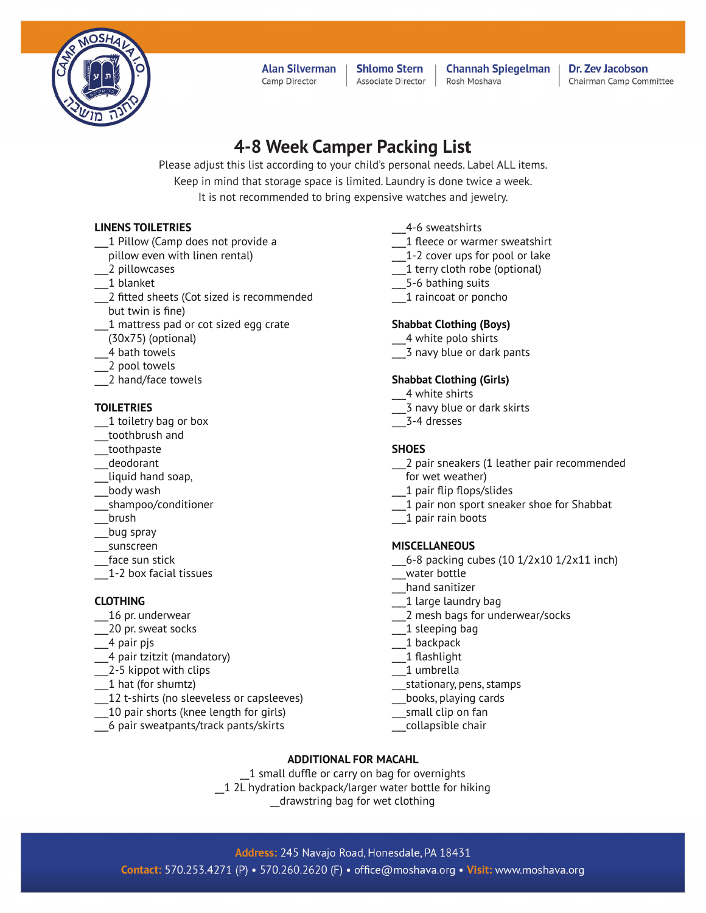

**Alan Silverman** Camp Director

**Shlomo Stern** Associate Director

**Channah Spiegelman** Rosh Moshava

Dr. Zev Jacobson Chairman Camp Committee

# **4-8 Week Camper Packing List**

Please adjust this list according to your child's personal needs. Label ALL items. Keep in mind that storage space is limited. Laundry is done twice a week. It is not recommended to bring expensive watches and jewelry.

### **LINENS TOILETRIES**

- 1 Pillow (Camp does not provide a
- pillow even with linen rental)
- \_\_\_2 pillowcases
- \_\_\_1 blanket
- 2 fitted sheets (Cot sized is recommended but twin is fine)
- \_\_\_1 mattress pad or cot sized egg crate
- (30x75) (optional)
- \_\_\_4 bath towels
- \_\_\_2 pool towels
- \_\_\_2 hand/face towels

#### **TOILETRIES**

- \_\_\_1 toiletry bag or box
- \_\_\_toothbrush and
- \_\_\_toothpaste
- \_\_\_deodorant
- liquid hand soap,
- \_\_\_body wash
- \_\_\_shampoo/conditioner
- \_\_\_brush
- \_\_\_bug spray
- \_\_\_sunscreen
- face sun stick
- \_\_\_1-2 box facial tissues

#### **CLOTHING**

- \_\_\_16 pr. underwear
- \_\_\_20 pr. sweat socks
- \_\_\_4 pair pjs
- \_\_\_4 pair tzitzit (mandatory)
- \_\_\_2-5 kippot with clips
- \_\_\_1 hat (for shumtz)
- 12 t-shirts (no sleeveless or capsleeves)
- \_\_\_10 pair shorts (knee length for girls)
- \_\_\_6 pair sweatpants/track pants/skirts
- \_\_\_4-6 sweatshirts
- \_\_\_1 fleece or warmer sweatshirt
- \_\_\_1-2 cover ups for pool or lake
- 1 terry cloth robe (optional)
- \_\_\_5-6 bathing suits
- \_\_\_1 raincoat or poncho

#### **Shabbat Clothing (Boys)**

- \_\_\_4 white polo shirts
- \_\_\_3 navy blue or dark pants

### **Shabbat Clothing (Girls)**

- \_\_\_4 white shirts
- \_\_\_3 navy blue or dark skirts
- \_\_\_3-4 dresses

#### **SHOES**

- \_\_\_2 pair sneakers (1 leather pair recommended for wet weather)
- \_\_\_1 pair flip flops/slides
- \_\_\_1 pair non sport sneaker shoe for Shabbat
- \_\_\_1 pair rain boots

#### **MISCELLANEOUS**

- \_\_\_6-8 packing cubes (10 1/2x10 1/2x11 inch)
- \_\_\_water bottle
- \_\_\_hand sanitizer
- 1 large laundry bag
- \_\_\_2 mesh bags for underwear/socks
- \_\_\_1 sleeping bag
- \_\_\_1 backpack
- \_\_\_1 flashlight
- \_\_\_1 umbrella
- \_\_\_stationary, pens, stamps
- \_\_\_books, playing cards
- \_\_\_small clip on fan
- \_\_\_collapsible chair

#### **ADDITIONAL FOR MACAHL**

1 small duffle or carry on bag for overnights \_\_1 2L hydration backpack/larger water bottle for hiking \_\_drawstring bag for wet clothing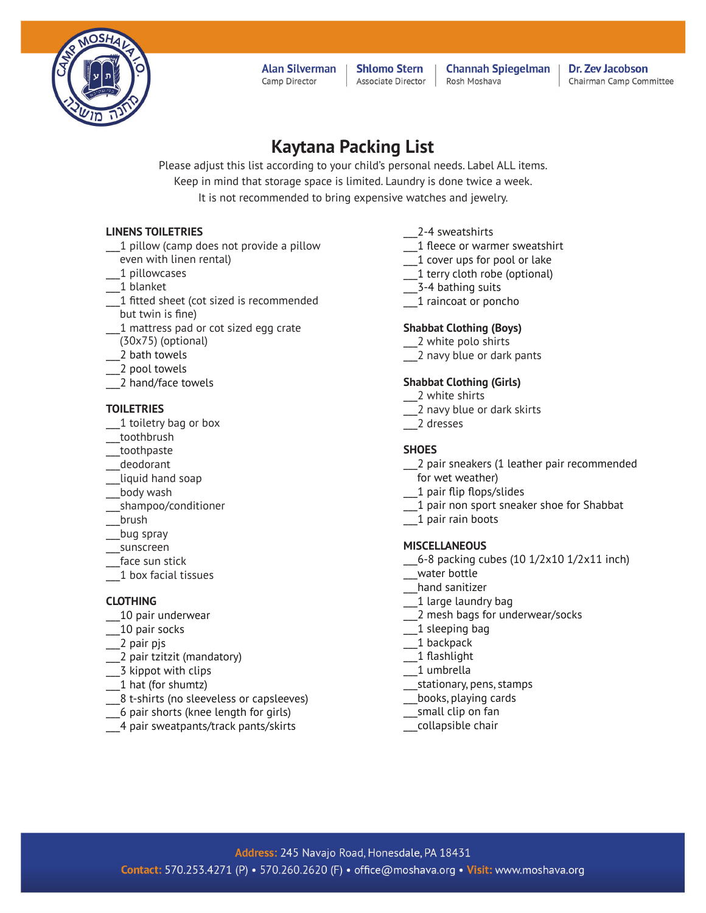

**Alan Silverman** Camp Director

**Shlomo Stern** Associate Director

**Channah Spiegelman** Rosh Moshava

Dr. Zev Jacobson Chairman Camp Committee

# **Kaytana Packing List**

Please adjust this list according to your child's personal needs. Label ALL items. Keep in mind that storage space is limited. Laundry is done twice a week. It is not recommended to bring expensive watches and jewelry.

### **LINENS TOILETRIES**

- \_\_\_1 pillow (camp does not provide a pillow even with linen rental)
- \_\_\_1 pillowcases
- \_\_\_1 blanket
- 1 fitted sheet (cot sized is recommended but twin is fine)
- \_\_\_1 mattress pad or cot sized egg crate
- (30x75) (optional)
- \_\_\_2 bath towels
- \_\_\_2 pool towels
- \_\_\_2 hand/face towels

#### **TOILETRIES**

- 1 toiletry bag or box
- \_\_\_toothbrush
- \_\_\_toothpaste
- \_\_\_deodorant
- \_\_\_liquid hand soap
- \_\_\_body wash
- \_\_\_shampoo/conditioner
- \_\_\_brush
- \_\_\_bug spray
- \_\_\_sunscreen
- face sun stick
- \_\_\_1 box facial tissues

#### **CLOTHING**

- \_\_\_10 pair underwear
- \_\_\_10 pair socks
- \_\_\_2 pair pjs
- \_\_\_2 pair tzitzit (mandatory)
- \_\_\_3 kippot with clips
- \_\_\_1 hat (for shumtz)
- \_\_\_8 t-shirts (no sleeveless or capsleeves)
- \_\_\_6 pair shorts (knee length for girls)
- \_\_\_4 pair sweatpants/track pants/skirts
- \_\_\_2-4 sweatshirts
- \_\_\_1 fleece or warmer sweatshirt
- 1 cover ups for pool or lake
- \_\_\_1 terry cloth robe (optional)
- \_\_\_3-4 bathing suits
- \_\_\_1 raincoat or poncho

#### **Shabbat Clothing (Boys)**

- \_\_\_2 white polo shirts
- \_\_\_2 navy blue or dark pants

#### **Shabbat Clothing (Girls)**

- \_\_\_2 white shirts
- \_\_\_2 navy blue or dark skirts
- \_\_\_2 dresses

#### **SHOES**

- \_\_\_2 pair sneakers (1 leather pair recommended for wet weather)
- \_\_\_1 pair flip flops/slides
- \_\_\_1 pair non sport sneaker shoe for Shabbat
- \_\_\_1 pair rain boots

#### **MISCELLANEOUS**

- \_\_\_6-8 packing cubes (10 1/2x10 1/2x11 inch)
- \_\_\_water bottle
- \_\_\_hand sanitizer
- 1 large laundry bag
- \_\_\_2 mesh bags for underwear/socks
- \_\_\_1 sleeping bag
- \_\_\_1 backpack
- \_\_\_1 flashlight
- \_\_\_1 umbrella
- \_\_\_stationary, pens, stamps
- \_\_\_books, playing cards
- \_\_\_small clip on fan
- \_\_\_collapsible chair